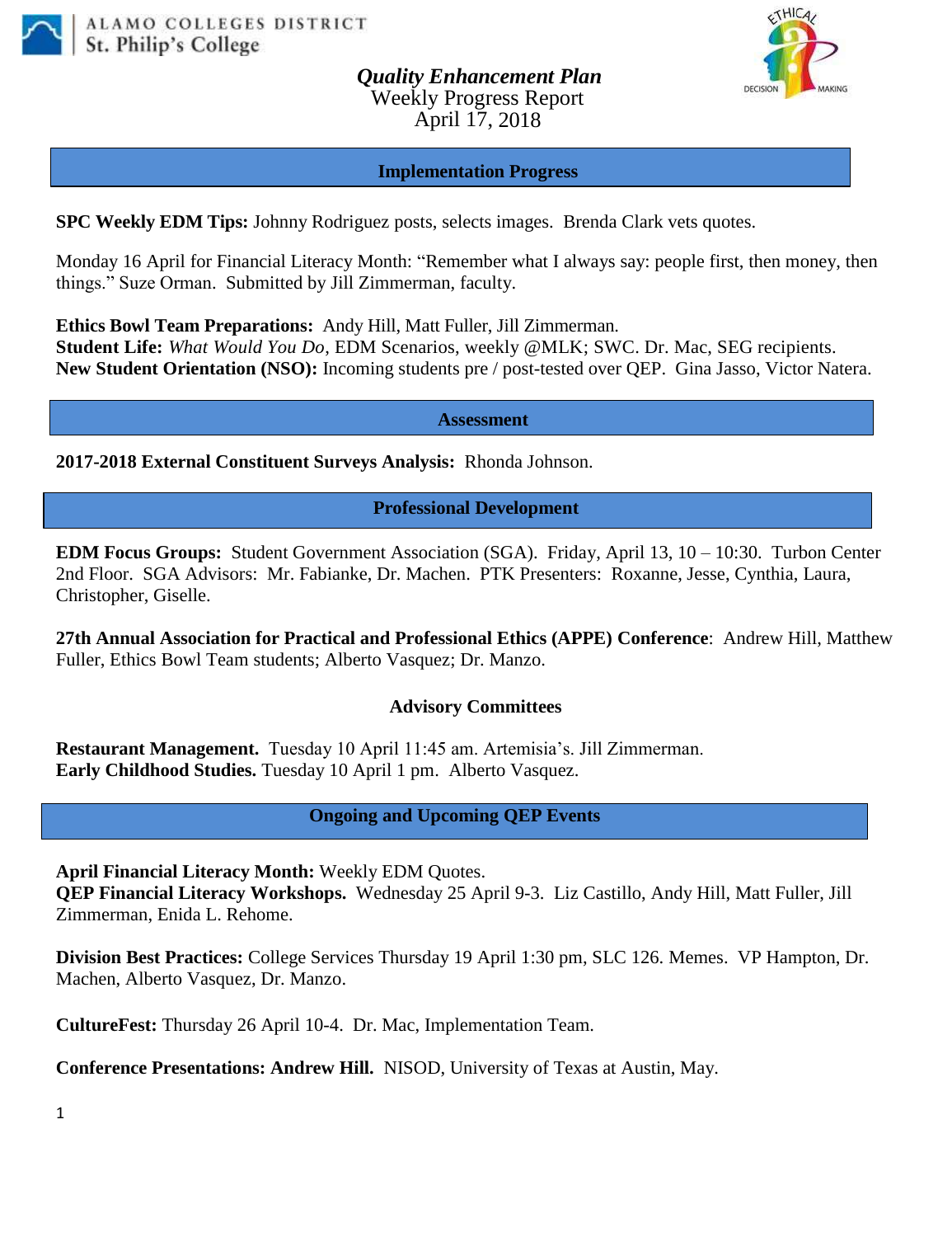

*Quality Enhancement Plan* Weekly Progress Report April 17, 2018



#### **Implementation Progress**

**SPC Weekly EDM Tips:** Johnny Rodriguez posts, selects images. Brenda Clark vets quotes.

Monday 16 April for Financial Literacy Month: "Remember what I always say: people first, then money, then things." Suze Orman. Submitted by Jill Zimmerman, faculty.

**Ethics Bowl Team Preparations:** Andy Hill, Matt Fuller, Jill Zimmerman.

**Student Life:** *What Would You Do*, EDM Scenarios, weekly @MLK; SWC. Dr. Mac, SEG recipients. **New Student Orientation (NSO):** Incoming students pre / post-tested over QEP. Gina Jasso, Victor Natera.

**Assessment**

**2017-2018 External Constituent Surveys Analysis:** Rhonda Johnson.

**Professional Development**

**EDM Focus Groups:** Student Government Association (SGA). Friday, April 13, 10 – 10:30. Turbon Center 2nd Floor. SGA Advisors: Mr. Fabianke, Dr. Machen. PTK Presenters: Roxanne, Jesse, Cynthia, Laura, Christopher, Giselle.

**27th Annual Association for Practical and Professional Ethics (APPE) Conference**: Andrew Hill, Matthew Fuller, Ethics Bowl Team students; Alberto Vasquez; Dr. Manzo.

#### **Advisory Committees**

**Restaurant Management.** Tuesday 10 April 11:45 am. Artemisia's. Jill Zimmerman. **Early Childhood Studies.** Tuesday 10 April 1 pm. Alberto Vasquez.

### **Ongoing and Upcoming QEP Events**

**April Financial Literacy Month:** Weekly EDM Quotes.

**QEP Financial Literacy Workshops.** Wednesday 25 April 9-3. Liz Castillo, Andy Hill, Matt Fuller, Jill Zimmerman, Enida L. Rehome.

**Division Best Practices:** College Services Thursday 19 April 1:30 pm, SLC 126. Memes. VP Hampton, Dr. Machen, Alberto Vasquez, Dr. Manzo.

**CultureFest:** Thursday 26 April 10-4. Dr. Mac, Implementation Team.

**Conference Presentations: Andrew Hill.** NISOD, University of Texas at Austin, May.